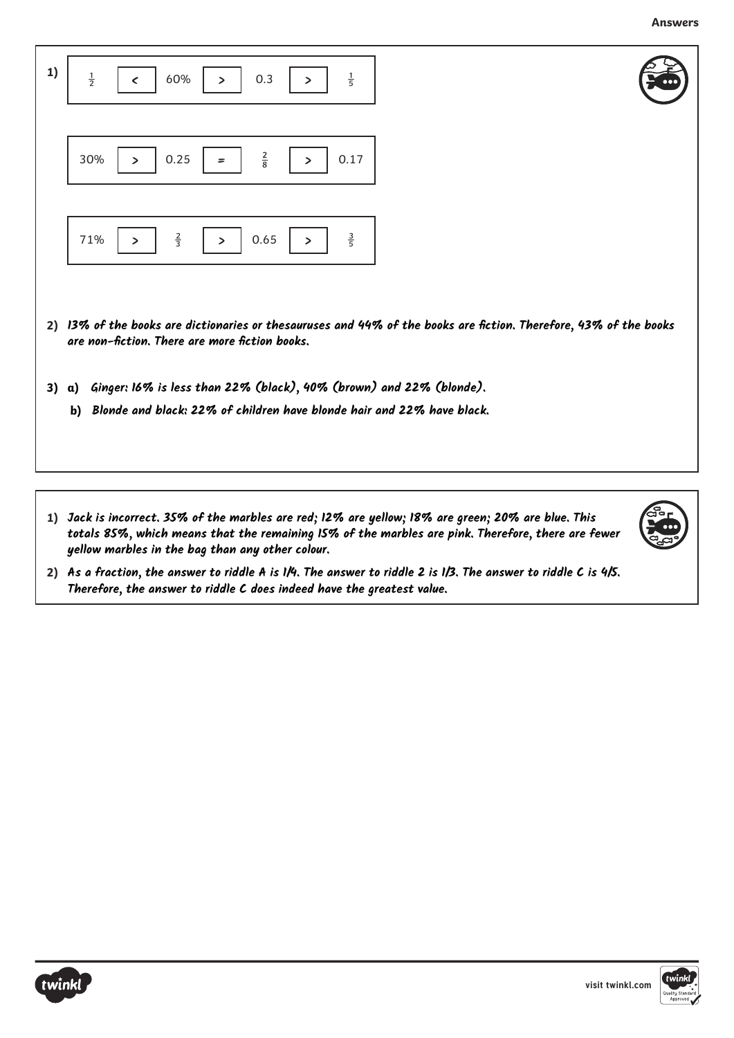**Answers**

| 1) | $\frac{1}{2}$<br>$\frac{1}{5}$<br>60%<br>0.3<br>$\epsilon$<br>$\geq$<br>⋗                                                                                           |
|----|---------------------------------------------------------------------------------------------------------------------------------------------------------------------|
|    | $\frac{2}{8}$<br>30%<br>0.25<br>0.17<br>⋗<br>⋗<br>=                                                                                                                 |
|    | $rac{2}{3}$<br>$\frac{3}{5}$<br>71%<br>0.65<br>><br>⋗<br>⋗                                                                                                          |
|    | 2) 13% of the books are dictionaries or thesauruses and 44% of the books are fiction. Therefore, 43% of the books<br>are non-fiction. There are more fiction books. |
| 3) | Ginger: 16% is less than 22% (black), 40% (brown) and 22% (blonde).<br>a)<br>Blonde and black: 22% of children have blonde hair and 22% have black.<br>b)           |
|    |                                                                                                                                                                     |

**1) Jack is incorrect. 35% of the marbles are red; 12% are yellow; 18% are green; 20% are blue. This totals 85%, which means that the remaining 15% of the marbles are pink. Therefore, there are fewer yellow marbles in the bag than any other colour.**



**2) As a fraction, the answer to riddle A is 1/4. The answer to riddle 2 is 1/3. The answer to riddle C is 4/5. Therefore, the answer to riddle C does indeed have the greatest value.**